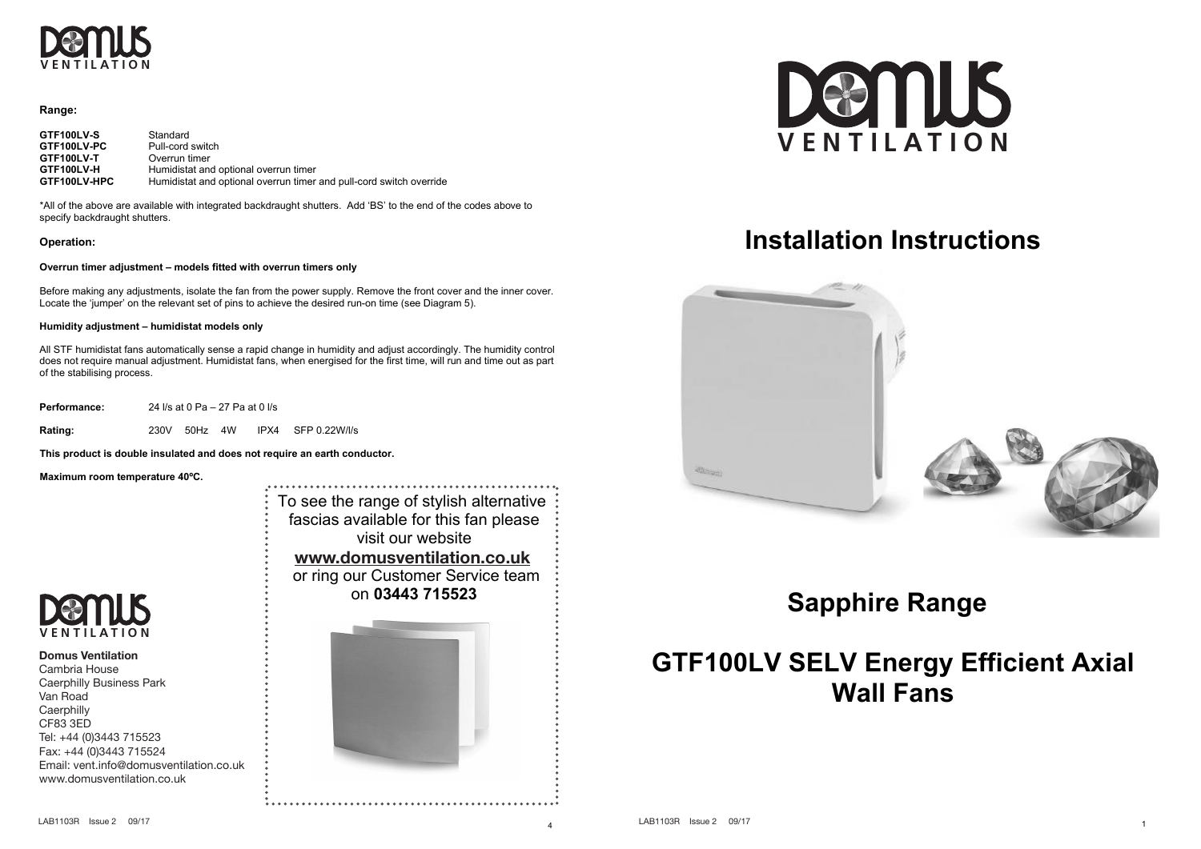

### **Range:**

| GTF100LV-S   | Standard                                                            |
|--------------|---------------------------------------------------------------------|
| GTF100LV-PC  | Pull-cord switch                                                    |
| GTF100LV-T   | Overrun timer                                                       |
| GTF100LV-H   | Humidistat and optional overrun timer                               |
| GTF100LV-HPC | Humidistat and optional overrun timer and pull-cord switch override |

\*All of the above are available with integrated backdraught shutters. Add 'BS' to the end of the codes above to specify backdraught shutters.

## **Operation:**

#### **Overrun timer adjustment – models fitted with overrun timers only**

Before making any adjustments, isolate the fan from the power supply. Remove the front cover and the inner cover. Locate the 'jumper' on the relevant set of pins to achieve the desired run-on time (see Diagram 5).

### **Humidity adjustment – humidistat models only**

All STF humidistat fans automatically sense a rapid change in humidity and adjust accordingly. The humidity control does not require manual adjustment. Humidistat fans, when energised for the first time, will run and time out as part of the stabilising process.

**Performance:** 24 l/s at 0 Pa – 27 Pa at 0 l/s

**Rating:** 230V 50Hz 4W IPX4 SFP 0.22W/l/s

**This product is double insulated and does not require an earth conductor.** 

**Maximum room temperature 40ºC.** 





**Domus Ventilation** Cambria House Caerphilly Business Park Van Road **Caerphilly** CF83 3ED Tel: +44 (0)3443 715523 Fax: +44 (0)3443 715524 Email: vent.info@domusventilation.co.uk www.domusventilation.co.uk





# **Installation Instructions**



# **Sapphire Range**

# **GTF100LV SELV Energy Efficient Axial Wall Fans**